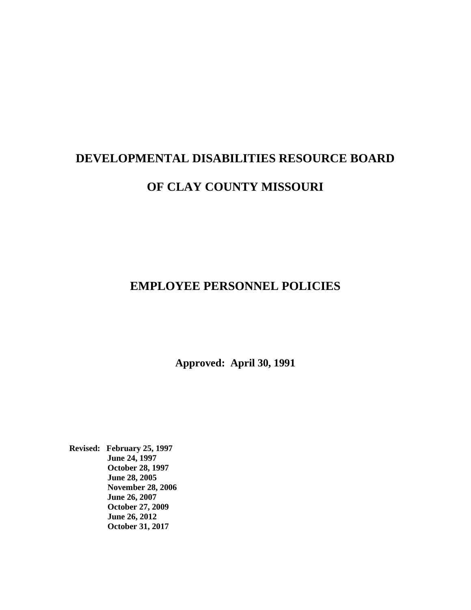# **EMPLOYEE PERSONNEL POLICIES**

**Approved: April 30, 1991**

**Revised: February 25, 1997 June 24, 1997 October 28, 1997 June 28, 2005 November 28, 2006 June 26, 2007 October 27, 2009 June 26, 2012 October 31, 2017**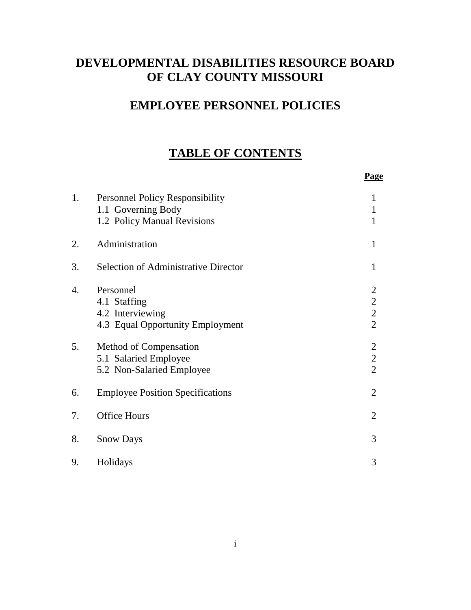# **EMPLOYEE PERSONNEL POLICIES**

# **TABLE OF CONTENTS**

|    |                                                                                             | <b>Page</b>                                                  |
|----|---------------------------------------------------------------------------------------------|--------------------------------------------------------------|
| 1. | <b>Personnel Policy Responsibility</b><br>1.1 Governing Body<br>1.2 Policy Manual Revisions | 1<br>$\mathbf{1}$<br>1                                       |
| 2. | Administration                                                                              | 1                                                            |
| 3. | <b>Selection of Administrative Director</b>                                                 | 1                                                            |
| 4. | Personnel<br>4.1 Staffing<br>4.2 Interviewing<br>4.3 Equal Opportunity Employment           | $\overline{2}$<br>$\begin{array}{c} 2 \\ 2 \\ 2 \end{array}$ |
| 5. | Method of Compensation<br>5.1 Salaried Employee<br>5.2 Non-Salaried Employee                | $\begin{array}{c} 2 \\ 2 \\ 2 \end{array}$                   |
| 6. | <b>Employee Position Specifications</b>                                                     | $\overline{2}$                                               |
| 7. | <b>Office Hours</b>                                                                         | $\overline{2}$                                               |
| 8. | <b>Snow Days</b>                                                                            | 3                                                            |
| 9. | Holidays                                                                                    | 3                                                            |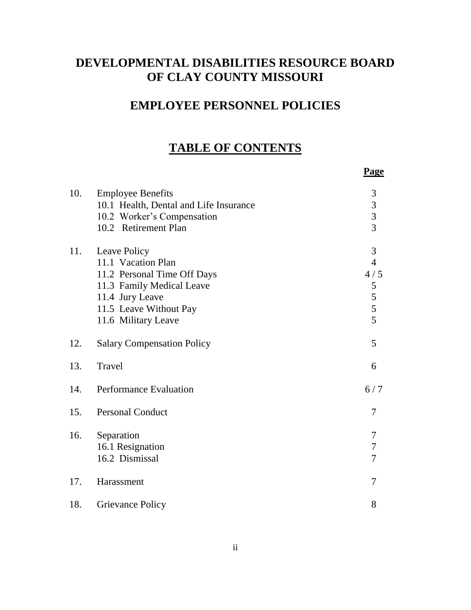# **EMPLOYEE PERSONNEL POLICIES**

# **TABLE OF CONTENTS**

**Page**

| 10. | <b>Employee Benefits</b><br>10.1 Health, Dental and Life Insurance<br>10.2 Worker's Compensation<br>10.2 Retirement Plan                                           | 3<br>$\begin{array}{c} 3 \\ 3 \\ 3 \end{array}$  |
|-----|--------------------------------------------------------------------------------------------------------------------------------------------------------------------|--------------------------------------------------|
| 11. | Leave Policy<br>11.1 Vacation Plan<br>11.2 Personal Time Off Days<br>11.3 Family Medical Leave<br>11.4 Jury Leave<br>11.5 Leave Without Pay<br>11.6 Military Leave | 3<br>$\overline{4}$<br>4/5<br>5<br>$\frac{5}{5}$ |
| 12. | <b>Salary Compensation Policy</b>                                                                                                                                  | 5                                                |
| 13. | Travel                                                                                                                                                             | 6                                                |
| 14. | Performance Evaluation                                                                                                                                             | 6/7                                              |
| 15. | <b>Personal Conduct</b>                                                                                                                                            | 7                                                |
| 16. | Separation<br>16.1 Resignation<br>16.2 Dismissal                                                                                                                   | 7<br>7<br>7                                      |
| 17. | Harassment                                                                                                                                                         | 7                                                |
| 18. | <b>Grievance Policy</b>                                                                                                                                            | 8                                                |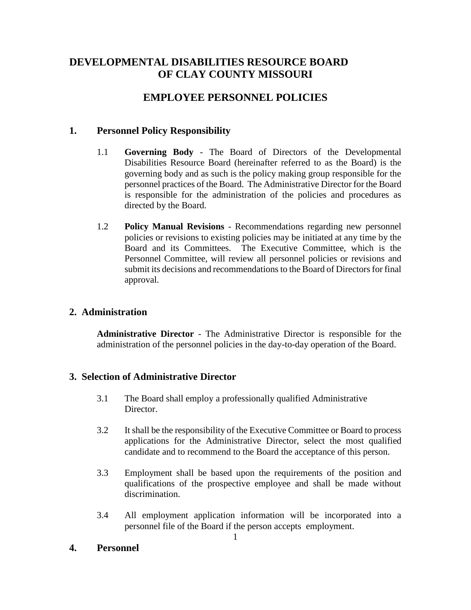# **EMPLOYEE PERSONNEL POLICIES**

# **1. Personnel Policy Responsibility**

- 1.1 **Governing Body** The Board of Directors of the Developmental Disabilities Resource Board (hereinafter referred to as the Board) is the governing body and as such is the policy making group responsible for the personnel practices of the Board. The Administrative Director for the Board is responsible for the administration of the policies and procedures as directed by the Board.
- 1.2 **Policy Manual Revisions** Recommendations regarding new personnel policies or revisions to existing policies may be initiated at any time by the Board and its Committees. The Executive Committee, which is the Personnel Committee, will review all personnel policies or revisions and submit its decisions and recommendations to the Board of Directors for final approval.

# **2. Administration**

**Administrative Director** - The Administrative Director is responsible for the administration of the personnel policies in the day-to-day operation of the Board.

# **3. Selection of Administrative Director**

- 3.1 The Board shall employ a professionally qualified Administrative Director.
- 3.2 It shall be the responsibility of the Executive Committee or Board to process applications for the Administrative Director, select the most qualified candidate and to recommend to the Board the acceptance of this person.
- 3.3 Employment shall be based upon the requirements of the position and qualifications of the prospective employee and shall be made without discrimination.
- 3.4 All employment application information will be incorporated into a personnel file of the Board if the person accepts employment.

# **4. Personnel**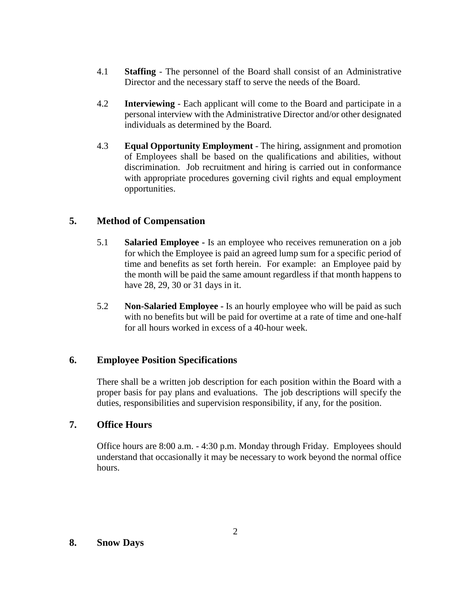- 4.1 **Staffing** The personnel of the Board shall consist of an Administrative Director and the necessary staff to serve the needs of the Board.
- 4.2 **Interviewing** Each applicant will come to the Board and participate in a personal interview with the Administrative Director and/or other designated individuals as determined by the Board.
- 4.3 **Equal Opportunity Employment** The hiring, assignment and promotion of Employees shall be based on the qualifications and abilities, without discrimination. Job recruitment and hiring is carried out in conformance with appropriate procedures governing civil rights and equal employment opportunities.

### **5. Method of Compensation**

- 5.1 **Salaried Employee -** Is an employee who receives remuneration on a job for which the Employee is paid an agreed lump sum for a specific period of time and benefits as set forth herein. For example: an Employee paid by the month will be paid the same amount regardless if that month happens to have 28, 29, 30 or 31 days in it.
- 5.2 **Non-Salaried Employee -** Is an hourly employee who will be paid as such with no benefits but will be paid for overtime at a rate of time and one-half for all hours worked in excess of a 40-hour week.

#### **6. Employee Position Specifications**

There shall be a written job description for each position within the Board with a proper basis for pay plans and evaluations. The job descriptions will specify the duties, responsibilities and supervision responsibility, if any, for the position.

#### **7. Office Hours**

Office hours are 8:00 a.m. - 4:30 p.m. Monday through Friday. Employees should understand that occasionally it may be necessary to work beyond the normal office hours.

#### **8. Snow Days**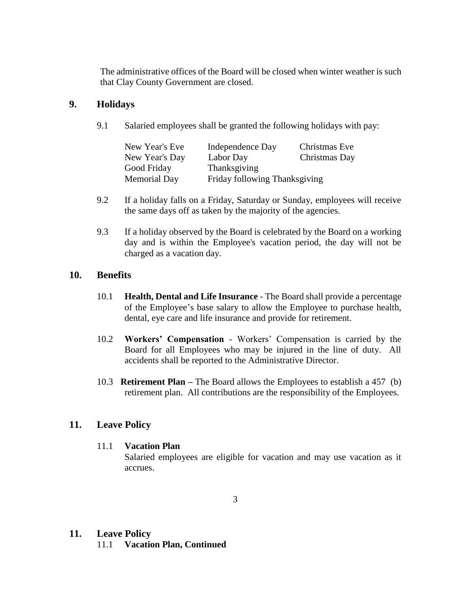The administrative offices of the Board will be closed when winter weather is such that Clay County Government are closed.

### **9. Holidays**

9.1 Salaried employees shall be granted the following holidays with pay:

| New Year's Eve      | Independence Day              | Christmas Eve |
|---------------------|-------------------------------|---------------|
| New Year's Day      | Labor Day                     | Christmas Day |
| Good Friday         | Thanksgiving                  |               |
| <b>Memorial Day</b> | Friday following Thanksgiving |               |

- 9.2 If a holiday falls on a Friday, Saturday or Sunday, employees will receive the same days off as taken by the majority of the agencies.
- 9.3 If a holiday observed by the Board is celebrated by the Board on a working day and is within the Employee's vacation period, the day will not be charged as a vacation day.

#### **10. Benefits**

- 10.1 **Health, Dental and Life Insurance** The Board shall provide a percentage of the Employee's base salary to allow the Employee to purchase health, dental, eye care and life insurance and provide for retirement.
- 10.2 **Workers' Compensation** Workers' Compensation is carried by the Board for all Employees who may be injured in the line of duty. All accidents shall be reported to the Administrative Director.
- 10.3 **Retirement Plan –** The Board allows the Employees to establish a 457 (b) retirement plan. All contributions are the responsibility of the Employees.

#### **11. Leave Policy**

#### 11.1 **Vacation Plan**

Salaried employees are eligible for vacation and may use vacation as it accrues.

#### **11. Leave Policy**

11.1 **Vacation Plan, Continued**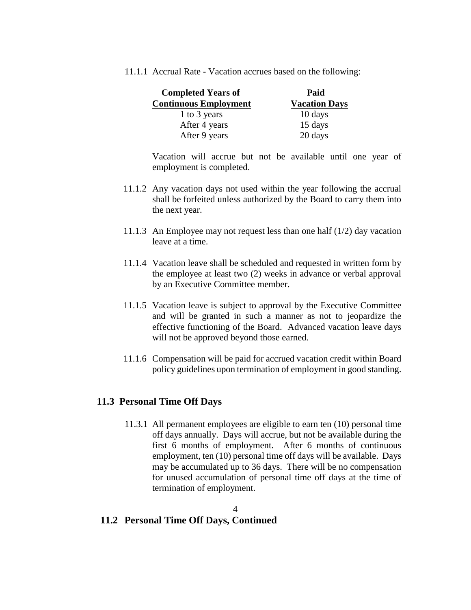11.1.1 Accrual Rate - Vacation accrues based on the following:

| <b>Completed Years of</b>    | Paid                 |
|------------------------------|----------------------|
| <b>Continuous Employment</b> | <b>Vacation Days</b> |
| 1 to 3 years                 | 10 days              |
| After 4 years                | 15 days              |
| After 9 years                | 20 days              |

Vacation will accrue but not be available until one year of employment is completed.

- 11.1.2 Any vacation days not used within the year following the accrual shall be forfeited unless authorized by the Board to carry them into the next year.
- 11.1.3 An Employee may not request less than one half (1/2) day vacation leave at a time.
- 11.1.4 Vacation leave shall be scheduled and requested in written form by the employee at least two (2) weeks in advance or verbal approval by an Executive Committee member.
- 11.1.5 Vacation leave is subject to approval by the Executive Committee and will be granted in such a manner as not to jeopardize the effective functioning of the Board. Advanced vacation leave days will not be approved beyond those earned.
- 11.1.6 Compensation will be paid for accrued vacation credit within Board policy guidelines upon termination of employment in good standing.

#### **11.3 Personal Time Off Days**

11.3.1 All permanent employees are eligible to earn ten (10) personal time off days annually. Days will accrue, but not be available during the first 6 months of employment. After 6 months of continuous employment, ten (10) personal time off days will be available. Days may be accumulated up to 36 days. There will be no compensation for unused accumulation of personal time off days at the time of termination of employment.

#### 4 **11.2 Personal Time Off Days, Continued**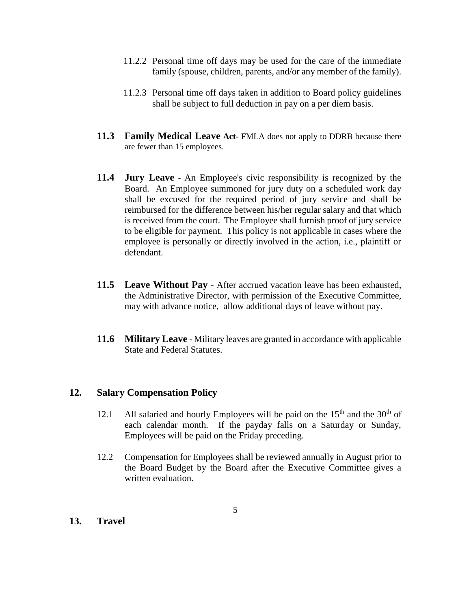- 11.2.2 Personal time off days may be used for the care of the immediate family (spouse, children, parents, and/or any member of the family).
- 11.2.3 Personal time off days taken in addition to Board policy guidelines shall be subject to full deduction in pay on a per diem basis.
- **11.3 Family Medical Leave Act-** FMLA does not apply to DDRB because there are fewer than 15 employees.
- **11.4 Jury Leave** An Employee's civic responsibility is recognized by the Board. An Employee summoned for jury duty on a scheduled work day shall be excused for the required period of jury service and shall be reimbursed for the difference between his/her regular salary and that which is received from the court. The Employee shall furnish proof of jury service to be eligible for payment. This policy is not applicable in cases where the employee is personally or directly involved in the action, i.e., plaintiff or defendant.
- **11.5 Leave Without Pay** After accrued vacation leave has been exhausted, the Administrative Director, with permission of the Executive Committee, may with advance notice, allow additional days of leave without pay.
- **11.6 Military Leave** Military leaves are granted in accordance with applicable State and Federal Statutes.

#### **12. Salary Compensation Policy**

- 12.1 All salaried and hourly Employees will be paid on the  $15<sup>th</sup>$  and the  $30<sup>th</sup>$  of each calendar month. If the payday falls on a Saturday or Sunday, Employees will be paid on the Friday preceding.
- 12.2 Compensation for Employees shall be reviewed annually in August prior to the Board Budget by the Board after the Executive Committee gives a written evaluation.

#### **13. Travel**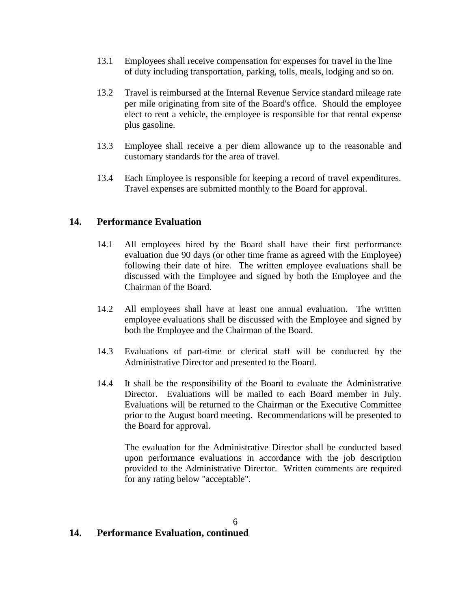- 13.1 Employees shall receive compensation for expenses for travel in the line of duty including transportation, parking, tolls, meals, lodging and so on.
- 13.2 Travel is reimbursed at the Internal Revenue Service standard mileage rate per mile originating from site of the Board's office. Should the employee elect to rent a vehicle, the employee is responsible for that rental expense plus gasoline.
- 13.3 Employee shall receive a per diem allowance up to the reasonable and customary standards for the area of travel.
- 13.4 Each Employee is responsible for keeping a record of travel expenditures. Travel expenses are submitted monthly to the Board for approval.

#### **14. Performance Evaluation**

- 14.1 All employees hired by the Board shall have their first performance evaluation due 90 days (or other time frame as agreed with the Employee) following their date of hire. The written employee evaluations shall be discussed with the Employee and signed by both the Employee and the Chairman of the Board.
- 14.2 All employees shall have at least one annual evaluation. The written employee evaluations shall be discussed with the Employee and signed by both the Employee and the Chairman of the Board.
- 14.3 Evaluations of part-time or clerical staff will be conducted by the Administrative Director and presented to the Board.
- 14.4 It shall be the responsibility of the Board to evaluate the Administrative Director. Evaluations will be mailed to each Board member in July. Evaluations will be returned to the Chairman or the Executive Committee prior to the August board meeting. Recommendations will be presented to the Board for approval.

The evaluation for the Administrative Director shall be conducted based upon performance evaluations in accordance with the job description provided to the Administrative Director. Written comments are required for any rating below "acceptable".

# **14. Performance Evaluation, continued**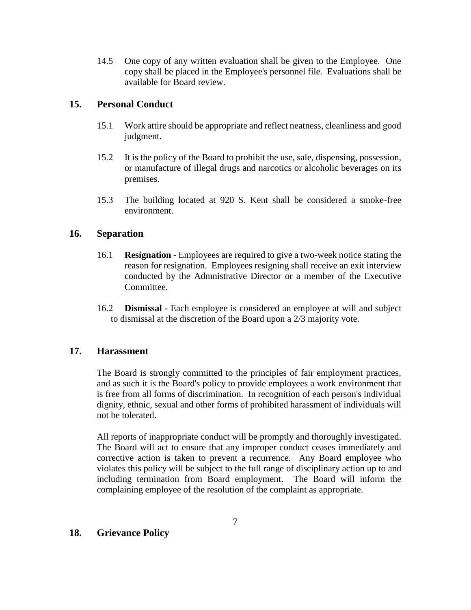14.5 One copy of any written evaluation shall be given to the Employee. One copy shall be placed in the Employee's personnel file. Evaluations shall be available for Board review.

#### **15. Personal Conduct**

- 15.1 Work attire should be appropriate and reflect neatness, cleanliness and good judgment.
- 15.2 It is the policy of the Board to prohibit the use, sale, dispensing, possession, or manufacture of illegal drugs and narcotics or alcoholic beverages on its premises.
- 15.3 The building located at 920 S. Kent shall be considered a smoke-free environment.

#### **16. Separation**

- 16.1 **Resignation** Employees are required to give a two-week notice stating the reason for resignation. Employees resigning shall receive an exit interview conducted by the Admnistrative Director or a member of the Executive Committee.
- 16.2 **Dismissal** Each employee is considered an employee at will and subject to dismissal at the discretion of the Board upon a 2/3 majority vote.

#### **17. Harassment**

The Board is strongly committed to the principles of fair employment practices, and as such it is the Board's policy to provide employees a work environment that is free from all forms of discrimination. In recognition of each person's individual dignity, ethnic, sexual and other forms of prohibited harassment of individuals will not be tolerated.

All reports of inappropriate conduct will be promptly and thoroughly investigated. The Board will act to ensure that any improper conduct ceases immediately and corrective action is taken to prevent a recurrence. Any Board employee who violates this policy will be subject to the full range of disciplinary action up to and including termination from Board employment. The Board will inform the complaining employee of the resolution of the complaint as appropriate.

# **18. Grievance Policy**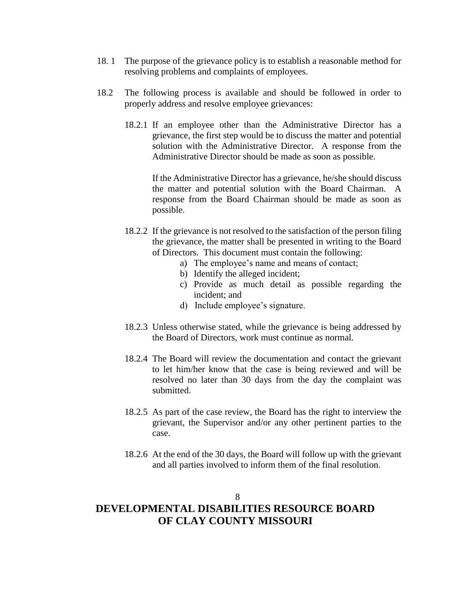- 18. 1 The purpose of the grievance policy is to establish a reasonable method for resolving problems and complaints of employees.
- 18.2 The following process is available and should be followed in order to properly address and resolve employee grievances:
	- 18.2.1 If an employee other than the Administrative Director has a grievance, the first step would be to discuss the matter and potential solution with the Administrative Director. A response from the Administrative Director should be made as soon as possible.

If the Administrative Director has a grievance, he/she should discuss the matter and potential solution with the Board Chairman. A response from the Board Chairman should be made as soon as possible.

- 18.2.2 If the grievance is not resolved to the satisfaction of the person filing the grievance, the matter shall be presented in writing to the Board of Directors. This document must contain the following:
	- a) The employee's name and means of contact;
	- b) Identify the alleged incident;
	- c) Provide as much detail as possible regarding the incident; and
	- d) Include employee's signature.
- 18.2.3 Unless otherwise stated, while the grievance is being addressed by the Board of Directors, work must continue as normal.
- 18.2.4 The Board will review the documentation and contact the grievant to let him/her know that the case is being reviewed and will be resolved no later than 30 days from the day the complaint was submitted.
- 18.2.5 As part of the case review, the Board has the right to interview the grievant, the Supervisor and/or any other pertinent parties to the case.
- 18.2.6 At the end of the 30 days, the Board will follow up with the grievant and all parties involved to inform them of the final resolution.

#### 8

# **DEVELOPMENTAL DISABILITIES RESOURCE BOARD OF CLAY COUNTY MISSOURI**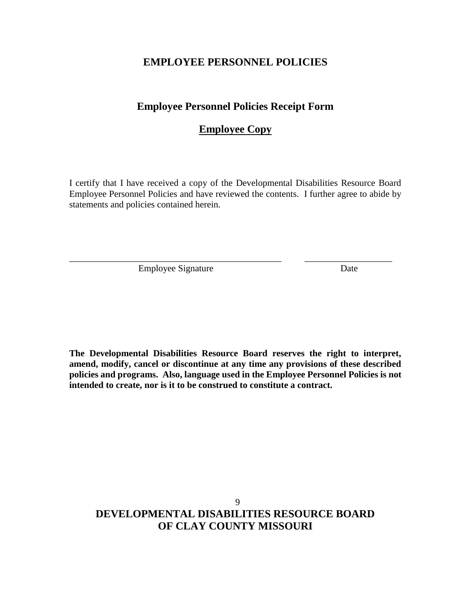### **EMPLOYEE PERSONNEL POLICIES**

#### **Employee Personnel Policies Receipt Form**

# **Employee Copy**

I certify that I have received a copy of the Developmental Disabilities Resource Board Employee Personnel Policies and have reviewed the contents. I further agree to abide by statements and policies contained herein.

\_\_\_\_\_\_\_\_\_\_\_\_\_\_\_\_\_\_\_\_\_\_\_\_\_\_\_\_\_\_\_\_\_\_\_\_\_\_\_\_\_\_\_\_\_\_ \_\_\_\_\_\_\_\_\_\_\_\_\_\_\_\_\_\_\_

Employee Signature Date

**The Developmental Disabilities Resource Board reserves the right to interpret, amend, modify, cancel or discontinue at any time any provisions of these described policies and programs. Also, language used in the Employee Personnel Policies is not intended to create, nor is it to be construed to constitute a contract.**

# 9 **DEVELOPMENTAL DISABILITIES RESOURCE BOARD OF CLAY COUNTY MISSOURI**